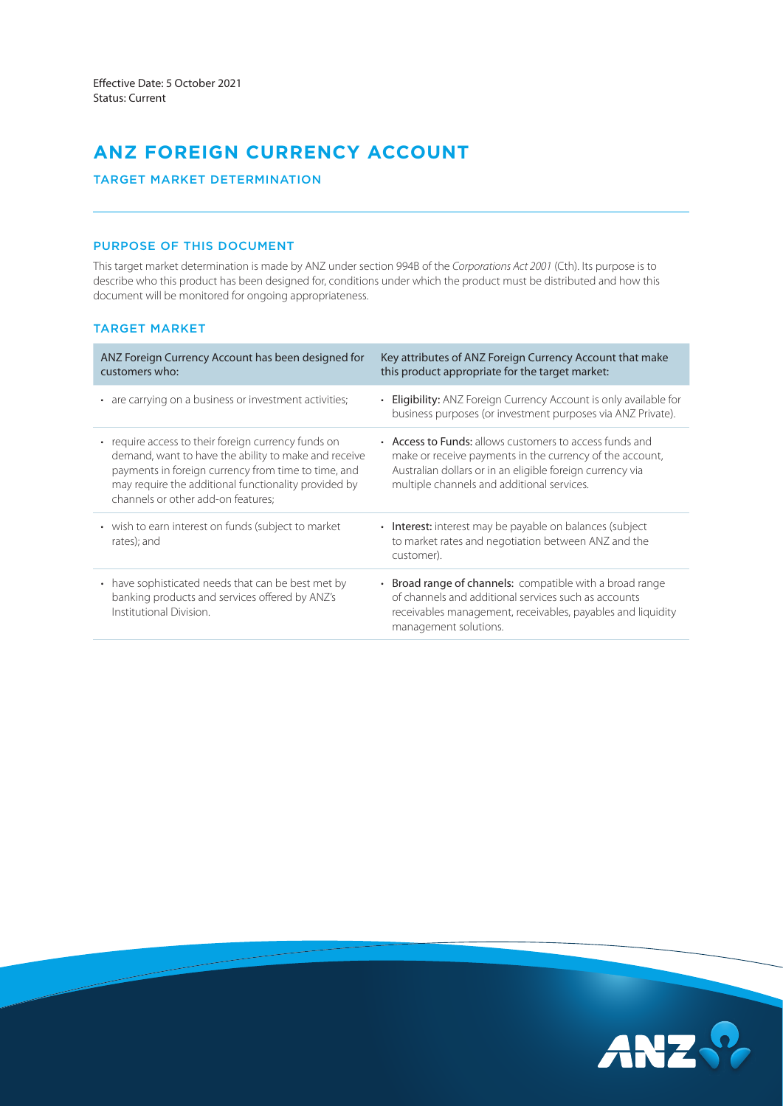# **ANZ FOREIGN CURRENCY ACCOUNT**

# TARGET MARKET DETERMINATION

# PURPOSE OF THIS DOCUMENT

This target market determination is made by ANZ under section 994B of the *Corporations Act 2001* (Cth). Its purpose is to describe who this product has been designed for, conditions under which the product must be distributed and how this document will be monitored for ongoing appropriateness.

# TARGET MARKET

| ANZ Foreign Currency Account has been designed for<br>customers who:                                                                                                                                                                                             | Key attributes of ANZ Foreign Currency Account that make<br>this product appropriate for the target market:                                                                                                                    |
|------------------------------------------------------------------------------------------------------------------------------------------------------------------------------------------------------------------------------------------------------------------|--------------------------------------------------------------------------------------------------------------------------------------------------------------------------------------------------------------------------------|
| • are carrying on a business or investment activities;                                                                                                                                                                                                           | <b>Eligibility:</b> ANZ Foreign Currency Account is only available for<br>business purposes (or investment purposes via ANZ Private).                                                                                          |
| • require access to their foreign currency funds on<br>demand, want to have the ability to make and receive<br>payments in foreign currency from time to time, and<br>may require the additional functionality provided by<br>channels or other add-on features: | • Access to Funds: allows customers to access funds and<br>make or receive payments in the currency of the account,<br>Australian dollars or in an eligible foreign currency via<br>multiple channels and additional services. |
| • wish to earn interest on funds (subject to market<br>rates); and                                                                                                                                                                                               | • Interest: interest may be payable on balances (subject<br>to market rates and negotiation between ANZ and the<br>customer).                                                                                                  |
| • have sophisticated needs that can be best met by<br>banking products and services offered by ANZ's<br>Institutional Division.                                                                                                                                  | • Broad range of channels: compatible with a broad range<br>of channels and additional services such as accounts<br>receivables management, receivables, payables and liquidity<br>management solutions.                       |

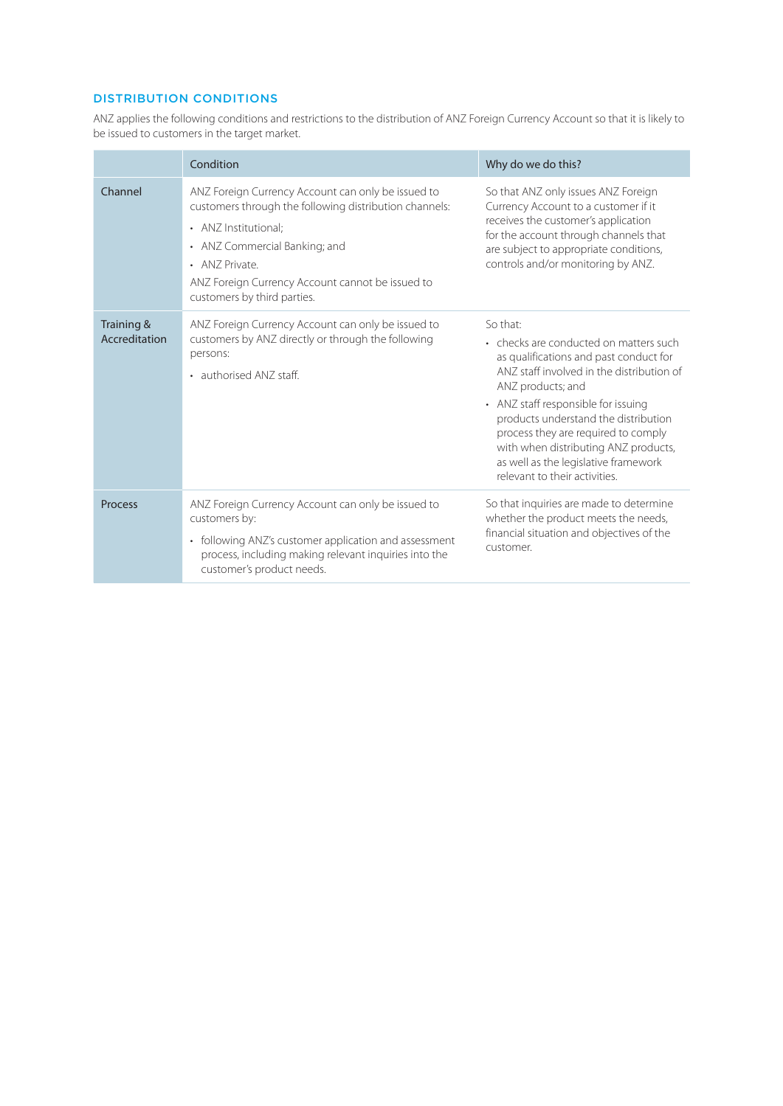# DISTRIBUTION CONDITIONS

ANZ applies the following conditions and restrictions to the distribution of ANZ Foreign Currency Account so that it is likely to be issued to customers in the target market.

|                             | Condition                                                                                                                                                                                                                                                                  | Why do we do this?                                                                                                                                                                                                                                                                                                                                                                                    |  |
|-----------------------------|----------------------------------------------------------------------------------------------------------------------------------------------------------------------------------------------------------------------------------------------------------------------------|-------------------------------------------------------------------------------------------------------------------------------------------------------------------------------------------------------------------------------------------------------------------------------------------------------------------------------------------------------------------------------------------------------|--|
| Channel                     | ANZ Foreign Currency Account can only be issued to<br>customers through the following distribution channels:<br>• ANZ Institutional:<br>• ANZ Commercial Banking; and<br>• ANZ Private.<br>ANZ Foreign Currency Account cannot be issued to<br>customers by third parties. | So that ANZ only issues ANZ Foreign<br>Currency Account to a customer if it<br>receives the customer's application<br>for the account through channels that<br>are subject to appropriate conditions,<br>controls and/or monitoring by ANZ.                                                                                                                                                           |  |
| Training &<br>Accreditation | ANZ Foreign Currency Account can only be issued to<br>customers by ANZ directly or through the following<br>persons:<br>• authorised ANZ staff.                                                                                                                            | So that:<br>• checks are conducted on matters such<br>as qualifications and past conduct for<br>ANZ staff involved in the distribution of<br>ANZ products; and<br>• ANZ staff responsible for issuing<br>products understand the distribution<br>process they are required to comply<br>with when distributing ANZ products,<br>as well as the legislative framework<br>relevant to their activities. |  |
| <b>Process</b>              | ANZ Foreign Currency Account can only be issued to<br>customers by:<br>• following ANZ's customer application and assessment<br>process, including making relevant inquiries into the<br>customer's product needs.                                                         | So that inquiries are made to determine<br>whether the product meets the needs,<br>financial situation and objectives of the<br>customer.                                                                                                                                                                                                                                                             |  |